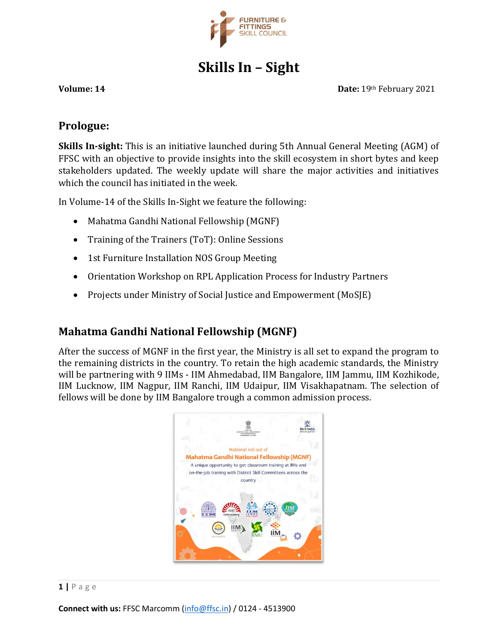

# **Skills In – Sight**

**Volume: 14 Date:** 19th February 2021

#### **Prologue:**

**Skills In-sight:** This is an initiative launched during 5th Annual General Meeting (AGM) of FFSC with an objective to provide insights into the skill ecosystem in short bytes and keep stakeholders updated. The weekly update will share the major activities and initiatives which the council has initiated in the week.

In Volume-14 of the Skills In-Sight we feature the following:

- Mahatma Gandhi National Fellowship (MGNF)
- Training of the Trainers (ToT): Online Sessions
- 1st Furniture Installation NOS Group Meeting
- Orientation Workshop on RPL Application Process for Industry Partners
- Projects under Ministry of Social Justice and Empowerment (MoSJE)

# **Mahatma Gandhi National Fellowship (MGNF)**

After the success of MGNF in the first year, the Ministry is all set to expand the program to the remaining districts in the country. To retain the high academic standards, the Ministry will be partnering with 9 IIMs - IIM Ahmedabad, IIM Bangalore, IIM Jammu, IIM Kozhikode, IIM Lucknow, IIM Nagpur, IIM Ranchi, IIM Udaipur, IIM Visakhapatnam. The selection of fellows will be done by IIM Bangalore trough a common admission process.

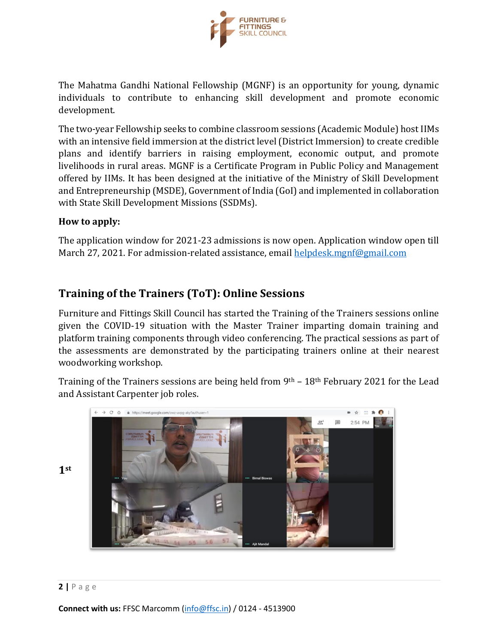

The Mahatma Gandhi National Fellowship (MGNF) is an opportunity for young, dynamic individuals to contribute to enhancing skill development and promote economic development.

The two-year Fellowship seeks to combine classroom sessions (Academic Module) host IIMs with an intensive field immersion at the district level (District Immersion) to create credible plans and identify barriers in raising employment, economic output, and promote livelihoods in rural areas. MGNF is a Certificate Program in Public Policy and Management offered by IIMs. It has been designed at the initiative of the Ministry of Skill Development and Entrepreneurship (MSDE), Government of India (GoI) and implemented in collaboration with State Skill Development Missions (SSDMs).

#### **How to apply:**

The application window for 2021-23 admissions is now open. Application window open till March 27, 2021. For admission-related assistance, email [helpdesk.mgnf@gmail.com](mailto:helpdesk.mgnf@gmail.com)

# **Training of the Trainers (ToT): Online Sessions**

Furniture and Fittings Skill Council has started the Training of the Trainers sessions online given the COVID-19 situation with the Master Trainer imparting domain training and platform training components through video conferencing. The practical sessions as part of the assessments are demonstrated by the participating trainers online at their nearest woodworking workshop.

Training of the Trainers sessions are being held from 9th – 18th February 2021 for the Lead and Assistant Carpenter job roles.



**1st**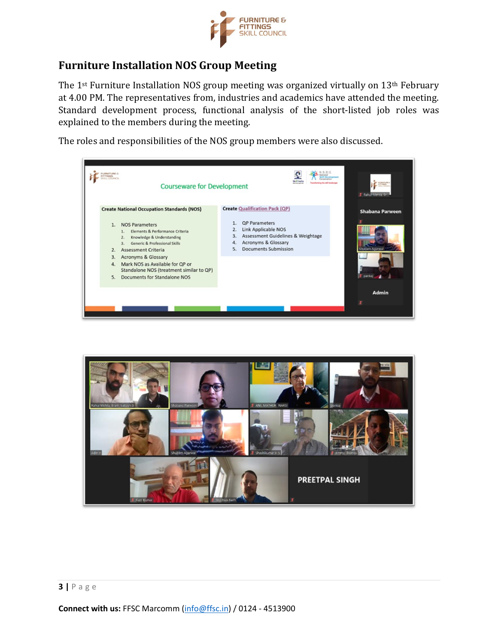

# **Furniture Installation NOS Group Meeting**

The 1<sup>st</sup> Furniture Installation NOS group meeting was organized virtually on 13<sup>th</sup> February at 4.00 PM. The representatives from, industries and academics have attended the meeting. Standard development process, functional analysis of the short-listed job roles was explained to the members during the meeting.

The roles and responsibilities of the NOS group members were also discussed.

| JANETURNE EL<br><b>IT TINICK</b><br><b>Courseware for Development</b>                                                                                                                                                                                                                                              | <b>Skill Inch</b><br>ing the skill landscape<br><b>Business person</b>                                                                                                                                         | T. Rahuf Ments                                 |
|--------------------------------------------------------------------------------------------------------------------------------------------------------------------------------------------------------------------------------------------------------------------------------------------------------------------|----------------------------------------------------------------------------------------------------------------------------------------------------------------------------------------------------------------|------------------------------------------------|
| <b>Create National Occupation Standards (NOS)</b><br><b>NOS Parameters</b><br>1.<br>Elements & Performance Criteria<br>1.<br>Knowledge & Understanding<br>Generic & Professional Skills<br>3.<br><b>Assessment Criteria</b><br>2.<br><b>Acronyms &amp; Glossary</b><br>3.<br>Mark NOS as Available for QP or<br>4. | <b>Create Qualification Pack (QP)</b><br><b>QP</b> Parameters<br><b>Link Applicable NOS</b><br>2.<br>Assessment Guidelines & Weightage<br>3.<br>Acronyms & Glossary<br>4.<br><b>Documents Submission</b><br>5. | <b>Shabana Parween</b><br><b>Isubiam Artis</b> |
| Standalone NOS (treatment similar to QP)<br>Documents for Standalone NOS<br>5.                                                                                                                                                                                                                                     |                                                                                                                                                                                                                | Admin                                          |

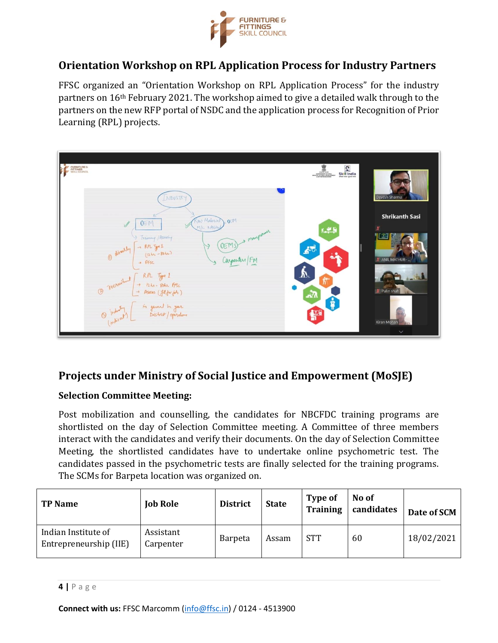

# **Orientation Workshop on RPL Application Process for Industry Partners**

FFSC organized an "Orientation Workshop on RPL Application Process" for the industry partners on 16th February 2021. The workshop aimed to give a detailed walk through to the partners on the new RFP portal of NSDC and the application process for Recognition of Prior Learning (RPL) projects.



# **Projects under Ministry of Social Justice and Empowerment (MoSJE)**

#### **Selection Committee Meeting:**

Post mobilization and counselling, the candidates for NBCFDC training programs are shortlisted on the day of Selection Committee meeting. A Committee of three members interact with the candidates and verify their documents. On the day of Selection Committee Meeting, the shortlisted candidates have to undertake online psychometric test. The candidates passed in the psychometric tests are finally selected for the training programs. The SCMs for Barpeta location was organized on.

| <b>TP Name</b>                                | <b>Job Role</b>        | <b>District</b> | <b>State</b> | Type of<br><b>Training</b> | No of<br>candidates | Date of SCM |
|-----------------------------------------------|------------------------|-----------------|--------------|----------------------------|---------------------|-------------|
| Indian Institute of<br>Entrepreneurship (IIE) | Assistant<br>Carpenter | <b>Barpeta</b>  | Assam        | <b>STT</b>                 | 60                  | 18/02/2021  |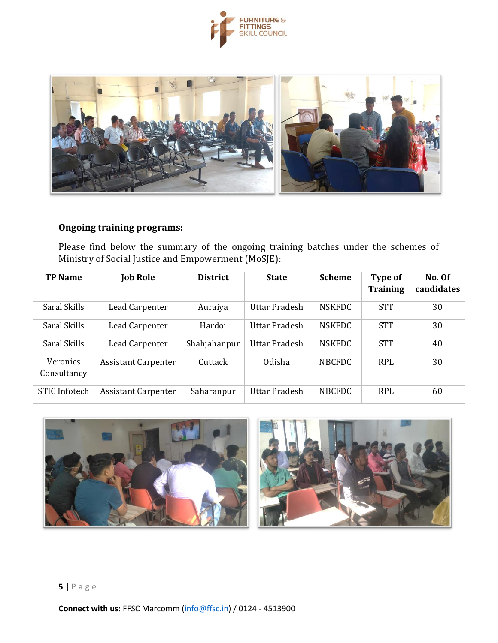



#### **Ongoing training programs:**

Please find below the summary of the ongoing training batches under the schemes of Ministry of Social Justice and Empowerment (MoSJE):

| <b>TP Name</b>                 | <b>Job Role</b>            | <b>District</b> | <b>State</b>         | <b>Scheme</b> | Type of<br><b>Training</b> | No. Of<br>candidates |
|--------------------------------|----------------------------|-----------------|----------------------|---------------|----------------------------|----------------------|
| Saral Skills                   | Lead Carpenter             | Auraiya         | Uttar Pradesh        | <b>NSKFDC</b> | <b>STT</b>                 | 30                   |
| Saral Skills                   | Lead Carpenter             | Hardoi          | Uttar Pradesh        | <b>NSKFDC</b> | <b>STT</b>                 | 30                   |
| Saral Skills                   | Lead Carpenter             | Shahjahanpur    | <b>Uttar Pradesh</b> | <b>NSKFDC</b> | <b>STT</b>                 | 40                   |
| <b>Veronics</b><br>Consultancy | <b>Assistant Carpenter</b> | Cuttack         | Odisha               | <b>NBCFDC</b> | <b>RPL</b>                 | 30                   |
| STIC Infotech                  | <b>Assistant Carpenter</b> | Saharanpur      | Uttar Pradesh        | <b>NBCFDC</b> | <b>RPL</b>                 | 60                   |